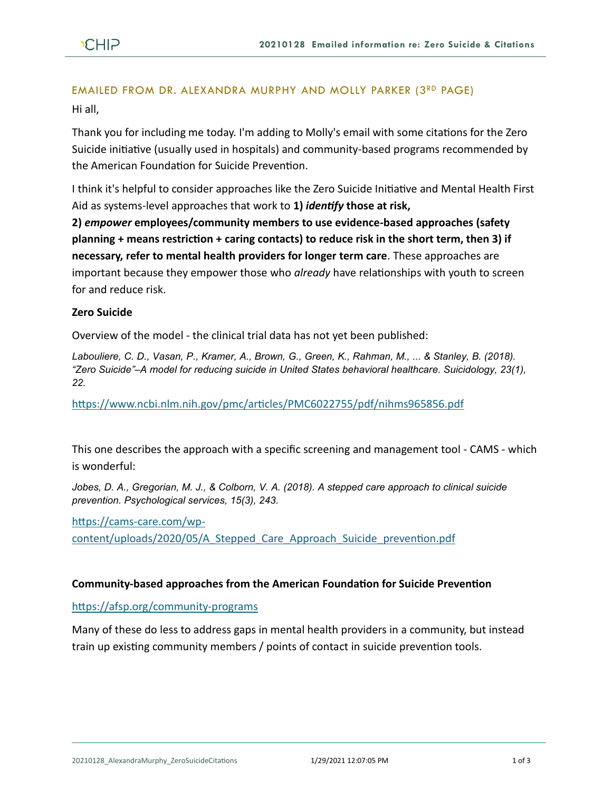# EMAILED FROM DR. ALEXANDRA MURPHY AND MOLLY PARKER (3RD PAGE)

Hi all,

Thank you for including me today. I'm adding to Molly's email with some citations for the Zero Suicide initiative (usually used in hospitals) and community-based programs recommended by the American Foundation for Suicide Prevention.

I think it's helpful to consider approaches like the Zero Suicide Initiative and Mental Health First Aid as systems-level approaches that work to **1)** *identify* **those at risk,** 

**2)** *empower* **employees/community members to use evidence-based approaches (safety planning + means restriction + caring contacts) to reduce risk in the short term, then 3) if necessary, refer to mental health providers for longer term care**. These approaches are important because they empower those who *already* have relationships with youth to screen for and reduce risk.

## **Zero Suicide**

Overview of the model - the clinical trial data has not yet been published:

*Labouliere, C. D., Vasan, P., Kramer, A., Brown, G., Green, K., Rahman, M., ... & Stanley, B. (2018). "Zero Suicide"–A model for reducing suicide in United States behavioral healthcare. Suicidology, 23(1), 22.*

<https://www.ncbi.nlm.nih.gov/pmc/articles/PMC6022755/pdf/nihms965856.pdf>

This one describes the approach with a specific screening and management tool - CAMS - which is wonderful:

*Jobes, D. A., Gregorian, M. J., & Colborn, V. A. (2018). A stepped care approach to clinical suicide prevention. Psychological services, 15(3), 243.*

[https://cams-care.com/wp-](https://cams-care.com/wp-content/uploads/2020/05/A_Stepped_Care_Approach_Suicide_prevention.pdf)

[content/uploads/2020/05/A\\_Stepped\\_Care\\_Approach\\_Suicide\\_prevention.pdf](https://cams-care.com/wp-content/uploads/2020/05/A_Stepped_Care_Approach_Suicide_prevention.pdf)

### **Community-based approaches from the American Foundation for Suicide Prevention**

<https://afsp.org/community-programs>

Many of these do less to address gaps in mental health providers in a community, but instead train up existing community members / points of contact in suicide prevention tools.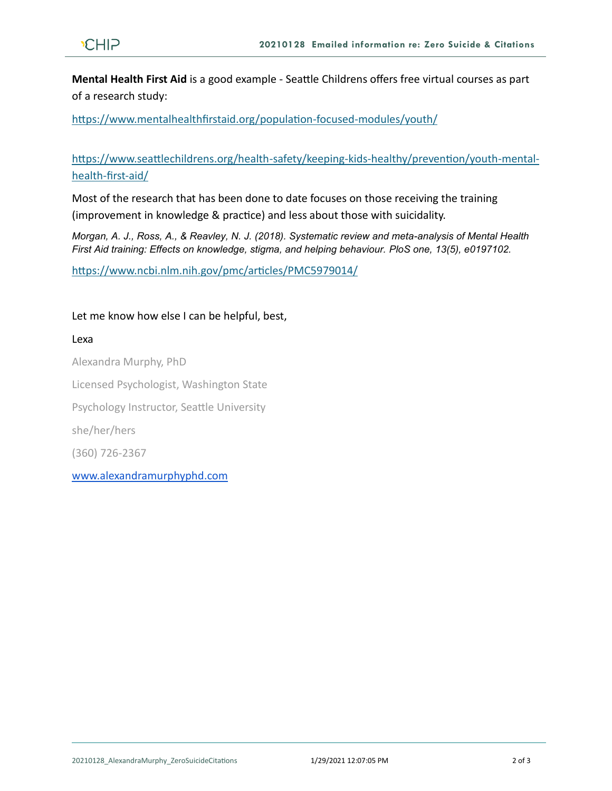**Mental Health First Aid** is a good example - Seattle Childrens offers free virtual courses as part of a research study:

<https://www.mentalhealthfirstaid.org/population-focused-modules/youth/>

[https://www.seattlechildrens.org/health-safety/keeping-kids-healthy/prevention/youth-mental](https://www.seattlechildrens.org/health-safety/keeping-kids-healthy/prevention/youth-mental-health-first-aid/)[health-first-aid/](https://www.seattlechildrens.org/health-safety/keeping-kids-healthy/prevention/youth-mental-health-first-aid/)

Most of the research that has been done to date focuses on those receiving the training (improvement in knowledge & practice) and less about those with suicidality.

*Morgan, A. J., Ross, A., & Reavley, N. J. (2018). Systematic review and meta-analysis of Mental Health First Aid training: Effects on knowledge, stigma, and helping behaviour. PloS one, 13(5), e0197102.*

<https://www.ncbi.nlm.nih.gov/pmc/articles/PMC5979014/>

### Let me know how else I can be helpful, best,

#### Lexa

Alexandra Murphy, PhD Licensed Psychologist, Washington State Psychology Instructor, Seattle University she/her/hers (360) 726-2367 [www.alexandramurphyphd.com](http://www.alexandramurphyphd.com/)